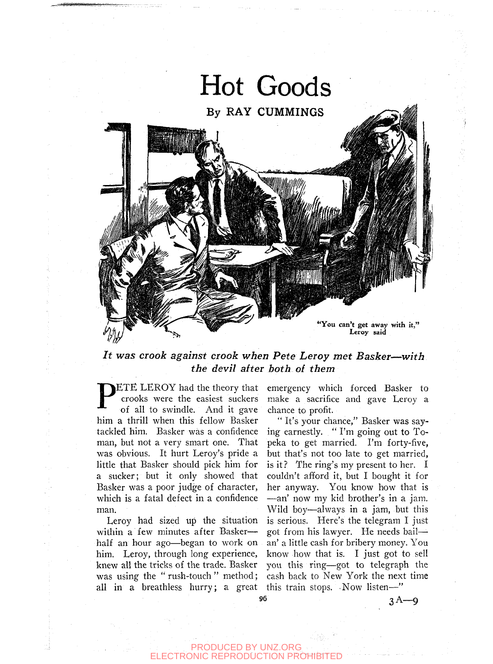

*It was crook against crook when Pete Leroy met Basker*—*with the devil after both of them* 

P<sup></sup> ETE LEROY had the theory that crooks were the easiest suckers of all to swindle. And it gave him a thrill when this fellow Basker tackled him. Basker was a confidence man, but not a very smart one. That was obvious. It hurt Leroy's pride a little that Basker should pick him for a sucker; but it only showed that Basker was a poor judge of character, which is a fatal defect in a confidence man.

Leroy had sized up the situation within a few minutes after Baskerhalf an hour ago—began to work on him. Leroy, through long experience, knew all the tricks of the trade. Basker was using the "rush-touch" method; all in a breathless hurry; a great this train stops. Now listen—"

emergency which forced Basker to make a sacrifice and gave Leroy a chance to profit.

" It's your chance," Basker was saying earnestly. " I'm going out to Topeka to get married. I'm forty-five, but that's not too late to get married, is it? The ring's my present to her. I couldn't afford it, but I bought it for her anyway. You know how that is —an' now my kid brother's in a jam. Wild boy—always in a jam, but this is serious. Here's the telegram I just got from his lawyer. He needs bail an' a little cash for bribery money. You know how that is. I just got to sell you this ring—got to telegraph the cash back to New York the next time

PRODUCED BY UNZ.ORG TRONIC REPRODUCTION PROHIB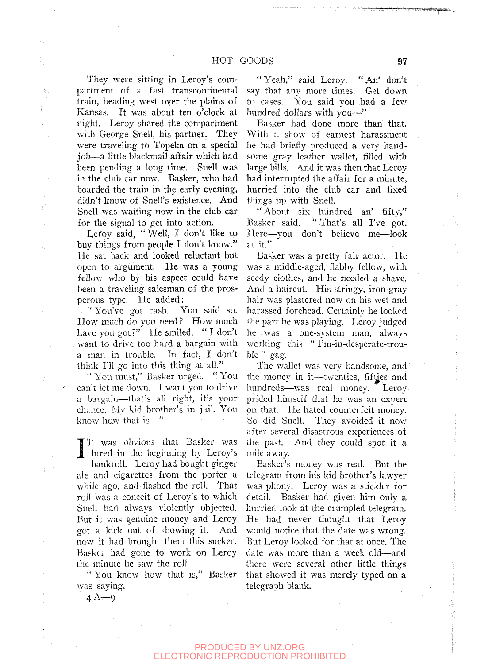They were sitting in Leroy's compartment of a fast transcontinental train, heading west oyer the plains of Kansas. It was about ten o'clock at night. Leroy shared the compartment with George Snell, his partner. They were traveling to Topeka on a special job—a little blackmail afifair which had been pending a long time. Snell was in the club car now. Basker, who had boarded the train in the early evening, didn't know of Snell's existence. And Snell was waiting now in the club car for the signal to get into action.

Æ.

Leroy said, "Well, I don't like to buy things from people I don't know." He sat back and looked reluctant but open to argument. He was a young fellow who by his aspect could have been a traveling salesman of the prosperous type. He added:

" You've got cash. You said so. How much do you need? How much have you got?" He smiled. "I don't want to drive too hard a bargain with a man in trouble. In fact, I don't think I'll go into this thing at all."

"You must," Basker urged. "You can't let me down. I want you to drive a bargain—that's all right, it's your chance. My kid brother's in jail. You know how that is—"

I T was obvious that Basker was<br>lured in the beginning by Leroy's<br>bankroll Leroy had bought ginger T was obvious that Basker was bankroll. Leroy had bought ginger ale and cigarettes from the porter a while ago, and flashed the roll. That roll was a conceit of Leroy's to which Snell had always violently objected. But it was genuine money and Leroy got a kick out of showing it. And now it had brought them this sucker. Basker had gone to work on Leroy the minute he saw the roll.

" You know how that is," Basker was saying.

"Yeah," said Leroy. "An' don't say that any more times. Get down to cases. You said you had a few hundred dollars with you—"

Basker had done more than that. With a show of earnest harassment he had briefly produced a very handsome gray leather wallet, filled with large bills. And it was then that Leroy had interrupted the affair for a minute, hurried into the club car and fixed things up with Snell.

" About six hundred an' fifty," Basker said. " That's all I've got. Here—you don't believe me—look at it."

Basker was a pretty fair actor. He was a middle-aged, flabby fellow, with seedy clothes, and he needed a shave. And a haircut. His stringy, iron-gray hair was plastered now on his wet and harassed forehead. Certainly he looked the part he was playing. Leroy judged he was a one-system man, always working this "I'm-in-desperate-trouble '' gag.

The wallet was very handsome, and the money in it—twenties, fifties and hundreds—was real money. Leroy prided himself that he was an expert on that. He hated counterfeit money. So did Snell. They avoided it now after several disastrous experiences of the past. And they could spot it a mile away.

Basker's money was real. But the telegram from his kid brother's lawyer was phony. Leroy was a stickler for detail. Basker had given him only a hurried look at the crumpled telegram. He had never thought that Leroy would notice that the date was wrong. But Leroy looked for that at once. The date was more than a week old—and there were several other little things that showed it was merely typed on a telegraph blank.

 $4A-9$ 

## PRODUCED BY UNZ.ORG ELECTRONIC REPRODUCTION PROHIBITED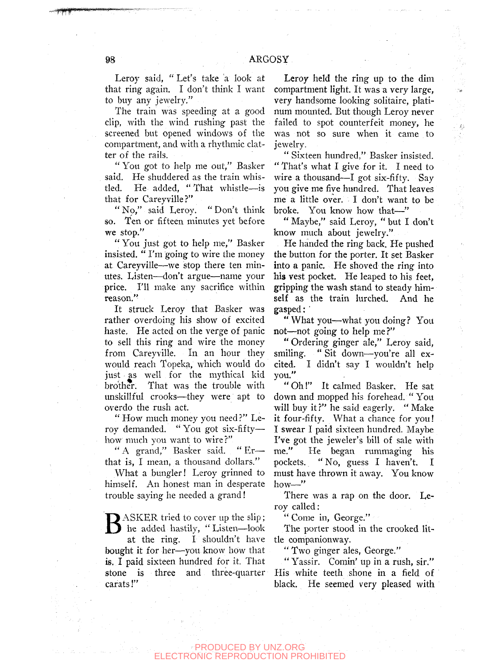Leroy said, "Let's take a look at that ring again. I don't think I want to buy any jewelry."

The train was speeding at a good clip, with the wind rushing past the screened but opened windows of the compartment, and with a rhythmic clatter of the rails.

" You got to help me out," Basker said. He shuddered as the train whistled. He added, "That whistle—is that for Careyyille?"

"No," said Leroy. "Don't think so. Ten or fifteen minutes yet before we stop."

" You just got to help me," Basker insisted. " I'm going to wire the money at Careyville—we stop there ten minutes. Listen—don't argue—name your price. I'll make any sacrifice within reason."

It struck Leroy that Basker was rather overdoing his show of excited haste. He acted on the verge of panic to sell this ring and wire the money from Careyville. In an hour they would reach Topeka, which would do just as well for the mythical kid brother. That was the trouble with unskillful crooks—they were apt to overdo the rush act.

" How much money you need ?" Leroy demanded. " You got six-fifty how much you want to wire?"

" A grand," Basker said. " Er that is, I mean, a thousand dollars."

What a bungler! Leroy grinned to himself. An honest man in desperate trouble saying he needed a grand!

**B** ASKER tried to cover up the slip;<br>the added hastily, "Listen—look<br>at the ring. Lishouldn't have he added hastily, " Listen—look at the ring. I shouldn't have bought it for her—you know how that is. I paid sixteen hundred for it. That stone is three and three-quarter carats!"

Leroy held the ring up to the dim compartment light. It was a very large, very handsome looking solitaire, platinum mounted. But though Leroy never failed to spot counterfeit money, he was not so sure when it came to jewelry.

 $\xi^i_\lambda$ 

" Sixteen hundred," Basker insisted. " That's what I give for it. I need to wire a thousand—I got six-fifty. Say you give me five hundred. That leaves me a little over. I don't want to be broke. You know how that—"

"Maybe," said Leroy, "but I don't know much about jewelry."

He handed the ring back. He pushed the button for the porter. It set Basker into a panic. He shoved the ring into his vest pocket. He leaped to his feet, gripping the wash stand to steady himself as the train lurched. And he gasped: '

" What you—what you doing? You not—not going to help me ?"

" Ordering ginger ale," Leroy said, smiling. " Sit down—you're all excited. I didn't say I wouldn't help you."

" Oh!" It calmed Basker. He sat down and mopped his forehead. " You will buy it?" he said eagerly. "Make it four-fifty. What a chance for you! I swear I paid sixteen hundred. Maybe I've got the jeweler's bill of sale with me." He began rummaging his pockets. " No, guess I haven't. I must have thrown it away. You know how—"

There was a rap on the door. Leroy called:

" Come in, George."

The porter stood in the crooked little companionway.

" Two ginger ales, George."

" Yassir. Comin' up in a rush, sir." His white teeth shone in a field of black. He seemed very pleased with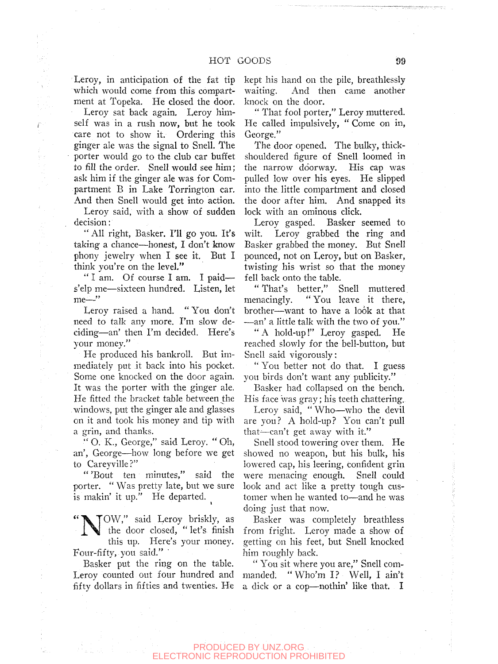Leroy, in anticipation of the fat tip which would come from this compartment at Topeka. He closed the door.

Leroy sat back again. Leroy himself was in a rush now, but he took care not to show it. Ordering this ginger ale was the signal to Snell. The porter would go to the club car buffet to fill the order. Snell would see him; ask him if the ginger ale was for Compartment B in Lake Torrington car. And then Snell would get into action.

Leroy said, with a show of sudden decision:

"All right, Basker. I'll go you. It's taking a chance—honest, I don't know phony jewelry when I see it. But I think you're on the level."

" I am. Of course I am. I paid s'elp me—sixteen hundred. Listen, let me—"

Leroy raised a hand. " You don't need to talk any more. I'm slow deciding—an' then I'm decided. Here's your money."

He produced his bankroll. But immediately put it back into his pocket. Some one knocked on the door again. It was the porter with the ginger ale. He fitted the bracket table between the windows, put the ginger ale and glasses on it and took his money and tip with a grin, and thanks.

" O. K., George," said Leroy. " Oh, an', George—how long before we get to Careyville?"

" 'Bout ten minutes," said the porter. " Was pretty late, but we sure is makin' it up." He departed.

**N** OW," said Leroy briskly, as the door closed, " let's finish this up. Here's your money. Four-fifty, you said."

Basker put the ring on the table. Leroy counted out four hundred and manded. "Who'm I? Well, I ain't fifty dollars in fifties and twenties. He

kept his hand on the pile, breathlessly waiting. And then came another knock on the door.

" That fool porter," Leroy muttered. He called impulsively, " Come on in, George."

The door opened. The bulky, thickshouldered figure of Snell loomed in the narrow doorway. His cap was pulled low over his eyes. He slipped into the. little compartment and closed the door after him. And snapped its lock with an ominous click.

Leroy gasped. Basker seemed to wilt. Leroy grabbed the ring and Basker grabbed the money. But Snell pounced, not on Leroy, but on Basker, twisting his wrist so that the money fell back onto the table.

"That's better," Snell muttered, menacingly. " You leave it there, brother—want to have a look at that -—an' a little talk with the two of you."

" A hold-up!" Leroy gasped. He reached slowly for the bell-button, but Snell said vigorously:

" You better not do that. I guess you birds don't want any publicity."

Basker had collapsed on the bench. His face was gray; his teeth chattering.

Leroy said, " Who—who the devil are you? A hold-up? You can't pull that—can't get away with it."

Snell stood towering over them. He showed no weapon, but his bulk, his lowered cap, his leering, confident grin were menacing enough. Snell could look and act like a pretty tough customer when he wanted to—and he was doing just that now.

Basker was completely breathless from fright. Leroy made a show of getting on his feet, but Snell knocked him roughly back.

" You sit where you are," Snell coma dick or a cop—nothin' like that. I

## PRODUCED BY UNZ.ORG ECTRONIC REPRODUCTION PROHIBITED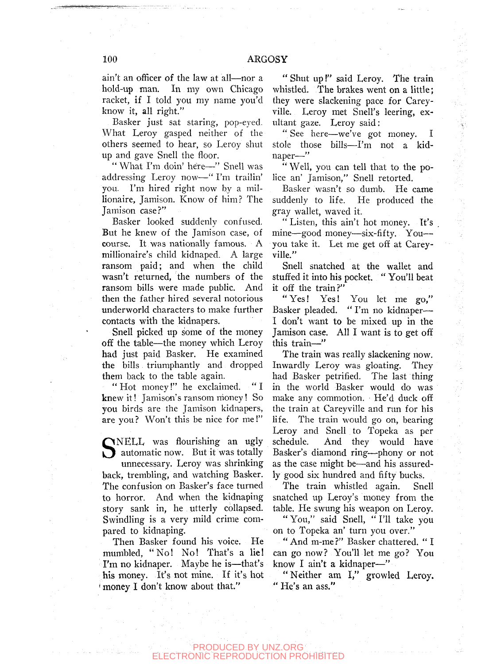ain't an officer of the law at all—nor a hold-up man. In my own Chicago racket, if I told you my name you'd know it, all right."

Basker just sat staring, pop-eyed. What Leroy gasped neither of the others seemed to hear, so Leroy shut up and gave Snell the floor.

"What I'm doin' here-" Snell was addressing Leroy now-—" I'm trailin' you. I'm hired right now by a millionaire, Jamison. Know of him? The Jamison case?"

Basker looked suddenly confused. But he knew of the Jamison case, of course. It was nationally famous. A millionaire's child kidnaped. A large ransom paid; and when the child wasn't returned, the numbers of the ransom bills were made public. And then the father hired several notorious underworld characters to make further contacts with the kidnapers.

Snell picked up some of the money off the table—the money which Leroy had just paid Basker. He examined the bills triumphantly and dropped them back to the table again.

" Hot money!" he exclaimed. " I knew it! Jamison's ransom nioney! So you birds are the Jamison kidnapers, are you? Won't this be nice for me!"

SNELL was flourishing an ugly<br>automatic now. But it was totally<br>unnecessary I eroy was shrinking automatic now. But it was totally

unnecessary. Leroy was shrinking back, trembling, and watching Basker. The confusion on Basker's face turned to horror. And when the kidnaping story sank in, he utterly collapsed. Swindling is a very mild crime compared to kidnaping.

Then Basker found his voice. He mumbled, "No! No! That's a lie! I'm no kidnaper. Maybe he is—that's his money. It's not mine. If it's hot 'money I don't know about that."

" Shut up!" said Leroy. The train whistled. The brakes went on a little; they were slackening pace for Careyville. Leroy met Snell's leering, exultant gaze. Leroy said:

" See here—we've got money. I stole those bills—I'm not a kidnaper—"

" Well, you can tell that to the police an' Jamison," Snell retorted.

Basker wasn't so dumb. He came suddenly to life. He produced the gray wallet, waved it.

" Listen, this ain't hot money. It's mine—good money—six-fifty. You you take it. Let me get off at Careyville."

Snell snatched at the wallet and stuffed it into his pocket. " You'll beat it off the train?"

"Yes! Yes! You let me go," Basker pleaded. " I'm no kidnaper— I don't want to be mixed up in the Jamison case. All I want is to get off this train—"

高速

The train was really slackening now. Inwardly Leroy was gloating. They had Basker petrified. The last thing in the world Basker would do was make any commotion. He'd duck off the train at Careyville and run for his life. The train would go on, bearing Leroy and Snell to Topeka as per schedule. And they would have Basker's diamond ring—phony or not as the case might be—and his assuredly good six hundred and fifty bucks.

The train whistled again. Snell snatched up Leroy's money from the table. He swung his weapon on Leroy.

" You," said Snell, " I'll take you on to Topeka an' turn you over."

" And m-me?" Basker chattered. " I can go now? You'll let me go? You know I ain't a kidnaper—"

"Neither am I," growled Leroy. " He's an ass."

## PRODUCED BY UNZ.ORG TRONIC REPRODUCTION PROHIBITED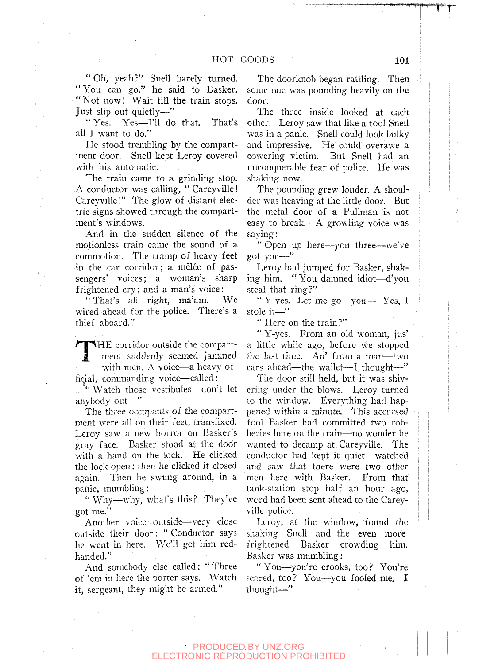"Oh, yeah?" Snell barely turned. " You can go," he said to Basker. ." Not now! Wait till the train stops. Just slip out quietly—"

"Yes. Yes—I'll do that. That's all I want to do."

He stood trembling by the compartment door. Snell kept Leroy covered with his automatic.

The train came to a grinding stop. A conductor was calling, " Careyville! Careyville!" The glow of distant electric signs showed through the compartment's windows.

And in the sudden silence of the motionless train came the sound of a commotion. The tramp of heavy feet in the car corridor; a mêlée of passengers' voices; a woman's sharp frightened cry; and a man's voice:

"That's all right, ma'am. We wired ahead for the police. There's a thief aboard."

**TELESCOPE** THE corridor outside the compartment suddenly seemed jammed with men. A voice—a heavy official, commanding voice—called:

'" Watch those vestibules—don't let anybody out—"

The three occupants of the compartment were all on their feet, transfixed. Leroy saw a new horror on Basker's gray face. Basker stood at the door with a hand on the lock. He clicked the lock open: then he clicked it closed again. Then he swung around, in a panic, mumbling;

"Why—why, what's this? They've got me."

Another voice outside—very close outside their door: " Conductor says he went in here. We'll get him redhanded."

And somebody else called: " Three of 'em in here the porter says. Watch it, sergeant, they might be armed."

The doorknob began rattling. Then some one was pounding heavily on the door.

The three inside looked at each other. Leroy saw that like a fool Snell was in a panic. Snell could look bulky and impressive. He could overawe a cowering victim. But Snell had an unconquerable fear of police. He was shaking now.

The pounding grew louder. A shoulder was heaving at the little door. But the metal door of a Pullman is not easy to break. A growling voice was saying:

" Open up here—you three—we've got you—"

Leroy had jumped for Basker, shaking him. " You damned idiot—d'you steal that ring?"

" Y-yes. Let me go—you— Yes, I stole it—"

" Here on the train?"

" Y-yes. From an old woman, jus' a little while ago, before we stopped the last time. An' from a man—two cars ahead—the wallet—I thought—"

The door still held, but it was shivering under the blows. Leroy turned to the window. Everything had happened within a minute. This accursed fool Basker had committed two robberies here on the train—no wonder he wanted to decamp at Careyville. The conductor had kept it quiet—watched and saw that there were two other men here with Basker. From that tank-station stop half an hour ago, word had been sent ahead to the Careyville police.

Leroy, at the window, found the shaking Snell and the even more frightened Basker crowding him. Basker was mumbling:

"You—you're crooks, too? You're scared, too? You—you fooled me. I thought—"

## PRODUCED BY UNZ.ORG ELECTRONIC REPRODUCTION PROHIBITED

**TTT**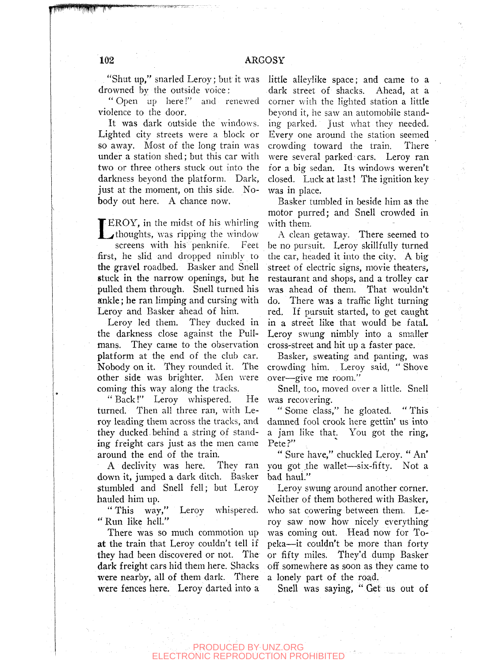"Shut up," snarled Leroy; but it was drowned by the outside voice;

" Open up here!" and renewed violence to the door.

It was dark outside the windows. Lighted city streets were a block or so away. Most of the long train was under a station shed; but this car with two or three others stuck out into the darkness beyond the platform. Dark, just at the moment, on this side. Nobody out here. A chance now.

t EROY, in the midst of his whirling **thoughts, was ripping the window** screens with his penknife. Feet first, he slid and dropped nimbly to the gravel roadbed. Basker and Snell stuck in the narrow openings, but he pulled them through. Snell turned his ankle; he ran limping and cursing with Leroy and Basker ahead of him.

Leroy led them. They ducked in the darkness close against the Pullmans. They came to the observation platform at the end of the club car. Nobody on it. They rounded it. The other side was brighter. Men were coming this way along the tracks.

" Back!" Leroy whispered. He turned. Then all three ran, with Leroy leading them across the tracks, and they ducked behind a string of standing freight cars just as the men came around the end of the train.

A declivity was here. They ran down it, jumped a dark ditch. Basker stumbled and Snell fell; but Leroy hauled him up.

" This wav," Leroy whispered. " Run like hell."

There was so much commotion up at the train that Leroy couldn't tell if they had been discovered or not. The dark freight cars hid them here. Shacks were nearby, all of them dark. There were fences here. Leroy darted into a little alieylike space; and came to a dark street of shacks. Ahead, at a corner with the lighted station a little beyond it, he saw an automobile standing parked. Just what they needed. Every one around the station seemed crowding toward the train. There were several parked cars. Leroy ran for a big sedan. Its windows weren't closed. Luck at last! The ignition key was in place.

Basker tumbled in beside him as the motor purred; and Snell crowded in with them.

A clean getaway. There seemed to be no pursuit. Leroy skillfully turned the car, headed it into the city. A big street of electric signs, movie theaters, restaurant and shops, and a trolley car was ahead of them. That wouldn't do. There was a traffic light turning red. If pursuit started, to get caught in a street like that would be fatal. Leroy swung nimbly into a smaller cross-street and hit up a faster pace.

Basker, sweating and panting, was crowding him. Leroy said, "Shove over—give me room."

Snell, too, moved over a little. Snell was recovering.

" Some class," he gloated. " This damned fool crook here gettin' us into a jam like that. You got the ring, Pete?"

" Sure have," chuckled Leroy. " An' you got the wallet—six-fifty. Not a bad haul."

Leroy swung around another corner. Neither of them bothered with Basker, who sat cowering between them. Leroy saw now how nicely everything was coming out. Head now for Topeka—it couldn't be more than forty or fifty miles. They'd dump Basker off somewhere as soon as they came to a lonely part of the road.

Snell was saying, " Get us out of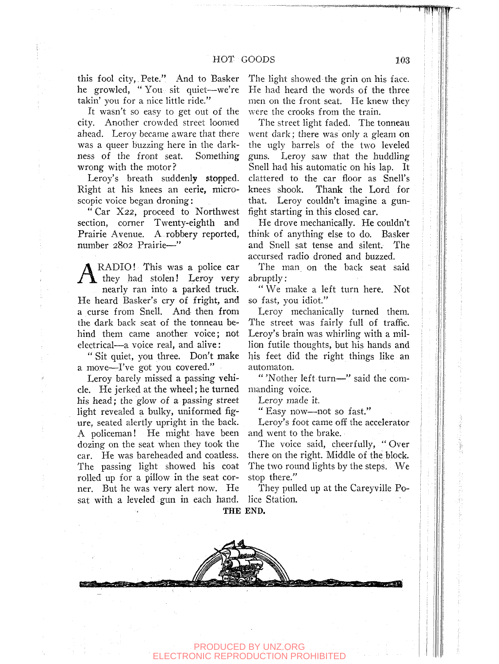this fool city, Pete." And to Basker he growled, "You sit quiet--we're takin' you for a nice little ride."

It wasn't so easy to get out of the city. Another crowded street loomed ahead. Leroy became aware that there was a queer buzzing here in the darkness of the front seat. Something wrong with the motor?

Leroy's breath suddenly stopped. Right at his knees an eerie, microscopic voice began droning:

" Car X22, proceed to Northwest section, corner Twenty-eighth and Prairie Avenue. A robbery reported, number 2802 Prairie—"

A RADIO! This was a police car<br>they had stolen! Leroy very RADIO! This was a police car nearly ran into a parked truck. He heard Basker's cry of fright, and a curse from Snell. And then from the dark back seat of the tonneau behind them came another voice; not electrical—a voice real, and alive:

" Sit quiet, you three. Don't make a move—I've got you covered."

Leroy barely missed a passing vehicle. He jerked at the wheel; he turned his head; the glow of a passing street light revealed a bulky, uniformed figure, seated alertly upright in the back. A policeman! He might have been dozing on the seat when they took the car. He was bareheaded and coatless. The passing light showed his coat rolled up for a pillow in the seat corner. But he was very alert now. He sat with a leveled gun in each hand. The light showed the grin on his face. He had heard the words of the three men on the front seat. He knew they were the crooks from the train.

The street light faded. The tonneau went dark; there was only a gleam on the ugly barrels of the two leveled guns. Leroy saw that the huddling Snell had his automatic on his lap. It clattered to the car floor as Snell's knees shook. Thank the Lord for that. Leroy couldn't imagine a gunfight starting in this closed car.

He drove mechanically. He couldn't think of anything else to do. Basker and Snell sat tense and silent. The accursed radio droned and buzzed.

The man on the back seat said abruptly:

" We make a left turn here. Not so fast, you idiot."

Leroy mechanically turned them. The street was fairly full of traffic. Leroy's brain was whirling with a million futile thoughts, but his hands and his feet did the right things like an automaton.

" 'Nother left turn—" said the commanding voice.

Leroy made it.

" Easy now—not so fast."

Leroy's foot came off the accelerator and went to the brake.

The voice said, cheerfully, " Over there on the right. Middle of the block. The two round lights by the steps. We stop there."

They pulled up at the Careyville Police Station.

THE END.

**^.** 

PRODUCED BY UNZ.ORG ONIC REPRODUCTION PROHIBITED